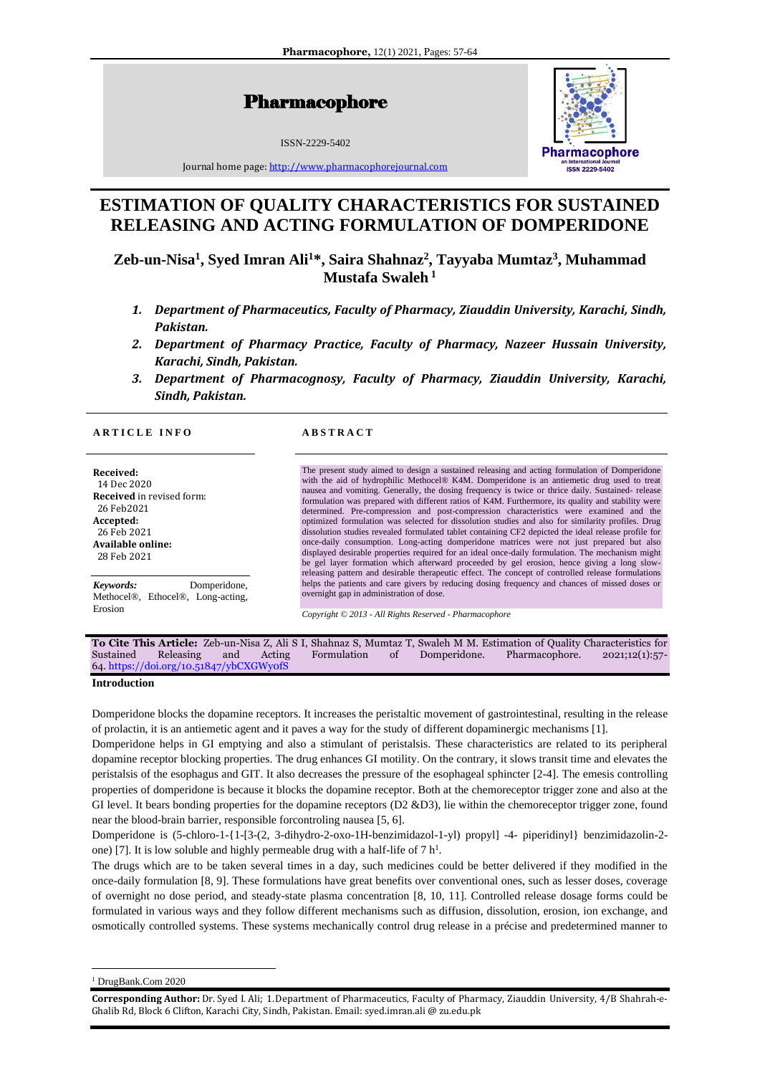Pharmacophore

ISSN-2229-5402



Journal home page[: http://www.pharmacophorejournal.com](http://www.pharmacophorejournal.com/)

# **ESTIMATION OF QUALITY CHARACTERISTICS FOR SUSTAINED RELEASING AND ACTING FORMULATION OF DOMPERIDONE**

**Zeb-un-Nisa<sup>1</sup> , Syed Imran Ali<sup>1</sup>\*, Saira Shahnaz<sup>2</sup> , Tayyaba Mumtaz<sup>3</sup> , Muhammad Mustafa Swaleh <sup>1</sup>**

- *1. Department of Pharmaceutics, Faculty of Pharmacy, Ziauddin University, Karachi, Sindh, Pakistan.*
- *2. Department of Pharmacy Practice, Faculty of Pharmacy, Nazeer Hussain University, Karachi, Sindh, Pakistan.*
- *3. Department of Pharmacognosy, Faculty of Pharmacy, Ziauddin University, Karachi, Sindh, Pakistan.*

# **A R T I C L E I N F O A B S T R A C T**

**Received:**  14 Dec 2020 **Received** in revised form: 26 Feb2021 **Accepted:** 26 Feb 2021 **Available online:** 28 Feb 2021

*Keywords:* Domperidone, Methocel®, Ethocel®, Long-acting,

The present study aimed to design a sustained releasing and acting formulation of Domperidone with the aid of hydrophilic Methocel® K4M. Domperidone is an antiemetic drug used to treat nausea and vomiting. Generally, the dosing frequency is twice or thrice daily. Sustained- release formulation was prepared with different ratios of K4M. Furthermore, its quality and stability were determined. Pre-compression and post-compression characteristics were examined and the optimized formulation was selected for dissolution studies and also for similarity profiles. Drug dissolution studies revealed formulated tablet containing CF2 depicted the ideal release profile for once-daily consumption. Long-acting domperidone matrices were not just prepared but also displayed desirable properties required for an ideal once-daily formulation. The mechanism might be gel layer formation which afterward proceeded by gel erosion, hence giving a long slowreleasing pattern and desirable therapeutic effect. The concept of controlled release formulations helps the patients and care givers by reducing dosing frequency and chances of missed doses or overnight gap in administration of dose.

*Copyright © 2013 - All Rights Reserved - Pharmacophore*

|           |                                           |     |        |             |                  |              | <b>To Cite This Article:</b> Zeb-un-Nisa Z, Ali S I, Shahnaz S, Mumtaz T, Swaleh M M. Estimation of Quality Characteristics for |                   |
|-----------|-------------------------------------------|-----|--------|-------------|------------------|--------------|---------------------------------------------------------------------------------------------------------------------------------|-------------------|
| Sustained | Releasing                                 | and | Acting | Formulation | $\sim$ of $\sim$ | Domperidone. | Pharmacophore.                                                                                                                  | $2021;12(1):57$ - |
|           | $64.$ https://doi.org/10.51847/ybCXGWyofS |     |        |             |                  |              |                                                                                                                                 |                   |

**Introduction**

Erosion

Domperidone blocks the dopamine receptors. It increases the peristaltic movement of gastrointestinal, resulting in the release of prolactin, it is an antiemetic agent and it paves a way for the study of different dopaminergic mechanisms [1].

Domperidone helps in GI emptying and also a stimulant of peristalsis. These characteristics are related to its peripheral dopamine receptor blocking properties. The drug enhances GI motility. On the contrary, it slows transit time and elevates the peristalsis of the esophagus and GIT. It also decreases the pressure of the esophageal sphincter [2-4]. The emesis controlling properties of domperidone is because it blocks the dopamine receptor. Both at the chemoreceptor trigger zone and also at the GI level. It bears bonding properties for the dopamine receptors (D2 &D3), lie within the chemoreceptor trigger zone, found near the blood-brain barrier, responsible forcontroling nausea [5, 6].

Domperidone is (5-chloro-1-{1-[3-(2, 3-dihydro-2-oxo-1H-benzimidazol-1-yl) propyl] -4- piperidinyl} benzimidazolin-2 one) [7]. It is low soluble and highly permeable drug with a half-life of  $7 h<sup>1</sup>$ . .

The drugs which are to be taken several times in a day, such medicines could be better delivered if they modified in the once-daily formulation [8, 9]. These formulations have great benefits over conventional ones, such as lesser doses, coverage of overnight no dose period, and steady-state plasma concentration [8, 10, 11]. Controlled release dosage forms could be formulated in various ways and they follow different mechanisms such as diffusion, dissolution, erosion, ion exchange, and osmotically controlled systems. These systems mechanically control drug release in a précise and predetermined manner to

<sup>1</sup> DrugBank.Com 2020

**Corresponding Author:** Dr. Syed I. Ali; 1.Department of Pharmaceutics, Faculty of Pharmacy, Ziauddin University, 4/B Shahrah-e-Ghalib Rd, Block 6 Clifton, Karachi City, Sindh, Pakistan. Email: syed.imran.ali @ zu.edu.pk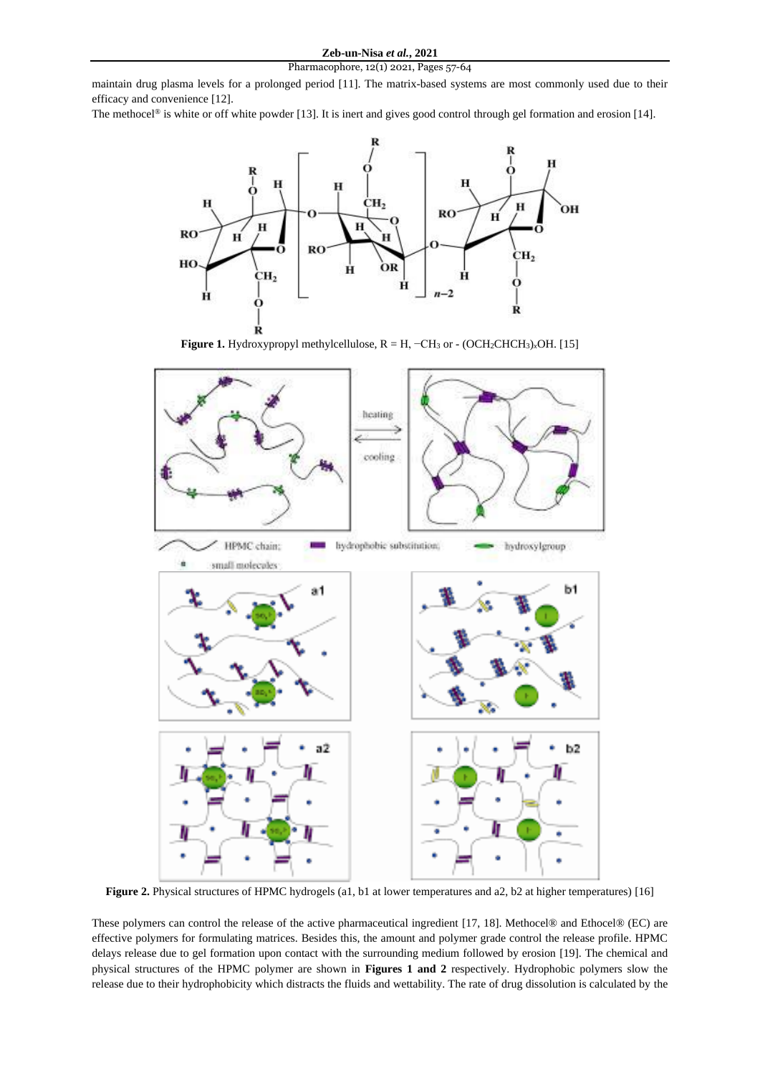maintain drug plasma levels for a prolonged period [11]. The matrix-based systems are most commonly used due to their efficacy and convenience [12].

The methocel<sup>®</sup> is white or off white powder [13]. It is inert and gives good control through gel formation and erosion [14].



**Figure 1.** Hydroxypropyl methylcellulose,  $R = H$ ,  $-CH_3$  or  $-$  (OCH<sub>2</sub>CHCH<sub>3</sub>)<sub>*x*</sub>OH. [15]



**Figure 2.** Physical structures of HPMC hydrogels (a1, b1 at lower temperatures and a2, b2 at higher temperatures) [16]

These polymers can control the release of the active pharmaceutical ingredient [17, 18]. Methocel® and Ethocel® (EC) are effective polymers for formulating matrices. Besides this, the amount and polymer grade control the release profile. HPMC delays release due to gel formation upon contact with the surrounding medium followed by erosion [19]. The chemical and physical structures of the HPMC polymer are shown in **Figures 1 and 2** respectively. Hydrophobic polymers slow the release due to their hydrophobicity which distracts the fluids and wettability. The rate of drug dissolution is calculated by the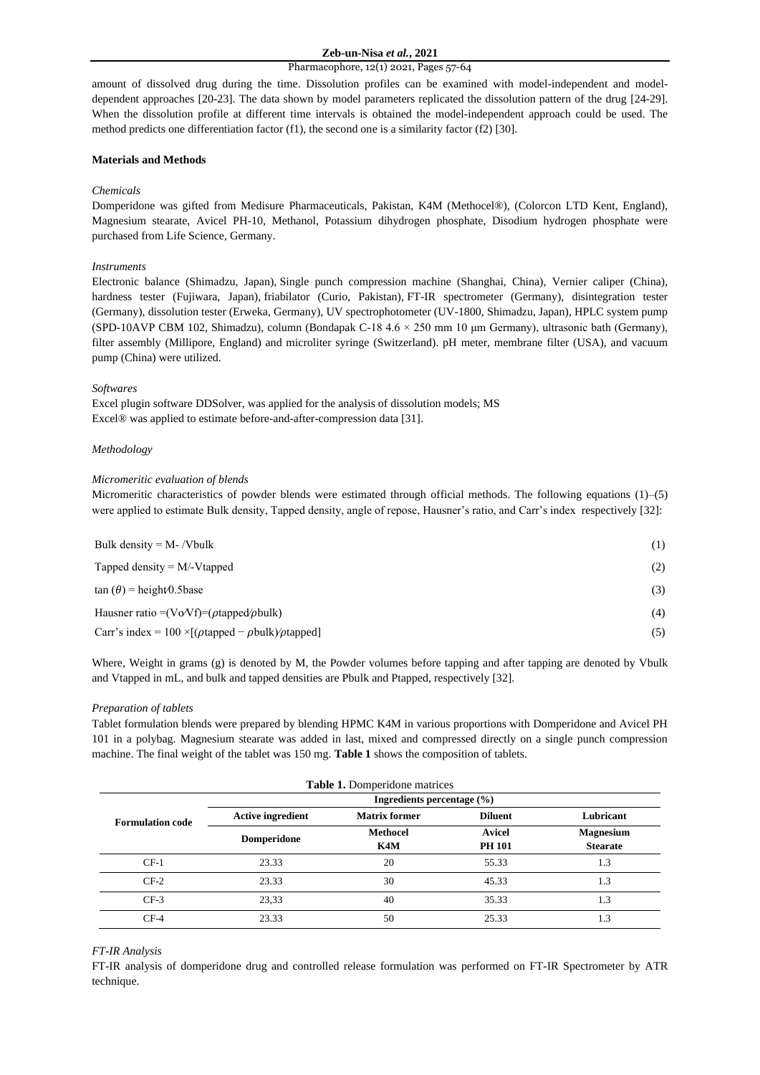# **Zeb-un-Nisa** *et al.***, 2021**

#### Pharmacophore, 12(1) 2021, Pages 57-64

amount of dissolved drug during the time. Dissolution profiles can be examined with model-independent and modeldependent approaches [20-23]. The data shown by model parameters replicated the dissolution pattern of the drug [24-29]. When the dissolution profile at different time intervals is obtained the model-independent approach could be used. The method predicts one differentiation factor (f1), the second one is a similarity factor (f2) [30].

# **Materials and Methods**

# *Chemicals*

Domperidone was gifted from Medisure Pharmaceuticals, Pakistan, K4M (Methocel®), (Colorcon LTD Kent, England), Magnesium stearate, Avicel PH-10, Methanol, Potassium dihydrogen phosphate, Disodium hydrogen phosphate were purchased from Life Science, Germany.

# *Instruments*

Electronic balance (Shimadzu, Japan), Single punch compression machine (Shanghai, China), Vernier caliper (China), hardness tester (Fujiwara, Japan), friabilator (Curio, Pakistan), FT-IR spectrometer (Germany), disintegration tester (Germany), dissolution tester (Erweka, Germany), UV spectrophotometer (UV-1800, Shimadzu, Japan), HPLC system pump (SPD-10AVP CBM 102, Shimadzu), column (Bondapak C-18 4.6 × 250 mm 10 μm Germany), ultrasonic bath (Germany), filter assembly (Millipore, England) and microliter syringe (Switzerland). pH meter, membrane filter (USA), and vacuum pump (China) were utilized.

## *Softwares*

Excel plugin software DDSolver, was applied for the analysis of dissolution models; MS Excel® was applied to estimate before-and-after-compression data [31].

# *Methodology*

# *Micromeritic evaluation of blends*

Micromeritic characteristics of powder blends were estimated through official methods. The following equations (1)–(5) were applied to estimate Bulk density, Tapped density, angle of repose, Hausner's ratio, and Carr's index respectively [32]:

| Bulk density = $M - \Delta V$ Woulk                                                      | (1) |
|------------------------------------------------------------------------------------------|-----|
| Tapped density $=M/-V$ tapped                                                            | (2) |
| $\tan (\theta) =$ height/0.5base                                                         | (3) |
| Hausner ratio = $(\text{VoVf})$ = $(\rho \text{tapped}/\rho \text{bulk})$                | (4) |
| Carr's index = $100 \times [(\rho \text{tapped} - \rho \text{bulk})/\rho \text{tapped}]$ | (5) |

Where, Weight in grams (g) is denoted by M, the Powder volumes before tapping and after tapping are denoted by Vbulk and Vtapped in mL, and bulk and tapped densities are Pbulk and Ptapped, respectively [32].

#### *Preparation of tablets*

Tablet formulation blends were prepared by blending HPMC K4M in various proportions with Domperidone and Avicel PH 101 in a polybag. Magnesium stearate was added in last, mixed and compressed directly on a single punch compression machine. The final weight of the tablet was 150 mg. **Table 1** shows the composition of tablets.

| <b>Table 1.</b> Domperidone matrices |                                |                        |                                |                                                  |  |  |  |  |  |
|--------------------------------------|--------------------------------|------------------------|--------------------------------|--------------------------------------------------|--|--|--|--|--|
|                                      | Ingredients percentage $(\% )$ |                        |                                |                                                  |  |  |  |  |  |
| <b>Formulation code</b>              | <b>Active ingredient</b>       | <b>Matrix former</b>   | <b>Diluent</b>                 | Lubricant<br><b>Magnesium</b><br><b>Stearate</b> |  |  |  |  |  |
|                                      | Domperidone                    | <b>Methocel</b><br>K4M | <b>Avicel</b><br><b>PH 101</b> |                                                  |  |  |  |  |  |
| $CF-1$                               | 23.33                          | 20                     | 55.33                          | 1.3                                              |  |  |  |  |  |
| $CF-2$                               | 23.33                          | 30                     | 45.33                          | 1.3                                              |  |  |  |  |  |
| $CF-3$                               | 23,33                          | 40                     | 35.33                          | 1.3                                              |  |  |  |  |  |
| $CF-4$                               | 23.33                          | 50                     | 25.33                          | 1.3                                              |  |  |  |  |  |

## *FT-IR Analysis*

FT-IR analysis of domperidone drug and controlled release formulation was performed on FT-IR Spectrometer by ATR technique.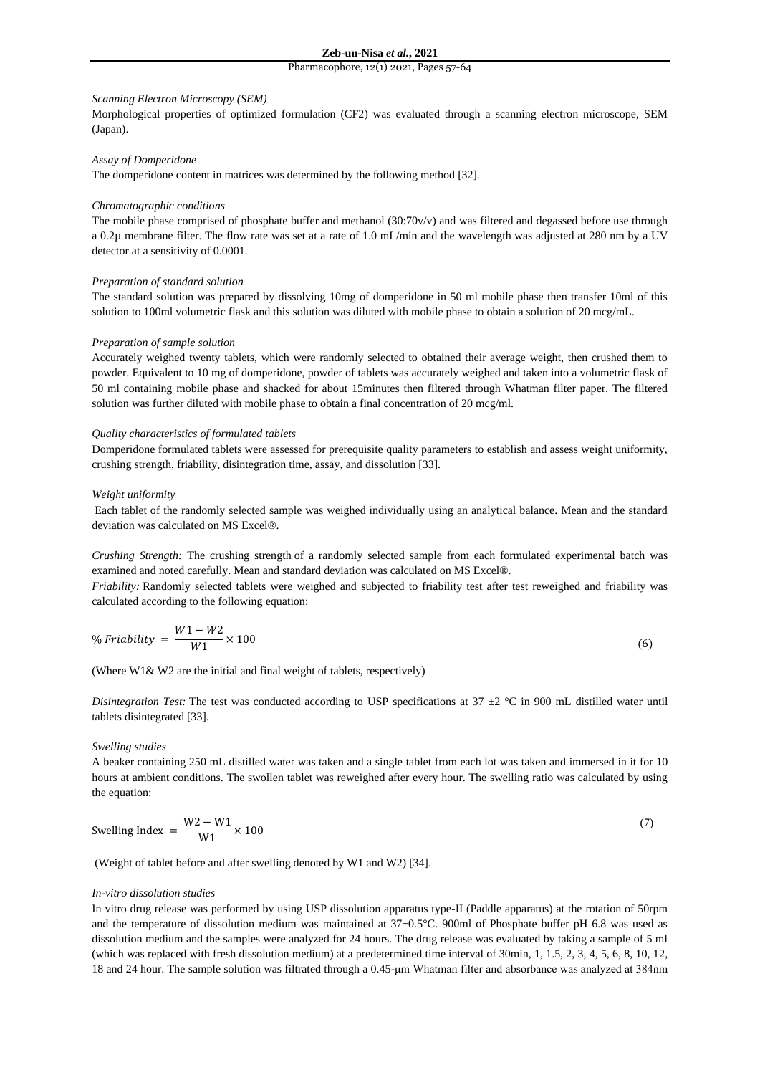#### *Scanning Electron Microscopy (SEM)*

Morphological properties of optimized formulation (CF2) was evaluated through a scanning electron microscope, SEM (Japan).

## *Assay of Domperidone*

The domperidone content in matrices was determined by the following method [32].

## *Chromatographic conditions*

The mobile phase comprised of phosphate buffer and methanol (30:70v/v) and was filtered and degassed before use through a 0.2µ membrane filter. The flow rate was set at a rate of 1.0 mL/min and the wavelength was adjusted at 280 nm by a UV detector at a sensitivity of 0.0001.

#### *Preparation of standard solution*

The standard solution was prepared by dissolving 10mg of domperidone in 50 ml mobile phase then transfer 10ml of this solution to 100ml volumetric flask and this solution was diluted with mobile phase to obtain a solution of 20 mcg/mL.

#### *Preparation of sample solution*

Accurately weighed twenty tablets, which were randomly selected to obtained their average weight, then crushed them to powder. Equivalent to 10 mg of domperidone, powder of tablets was accurately weighed and taken into a volumetric flask of 50 ml containing mobile phase and shacked for about 15minutes then filtered through Whatman filter paper. The filtered solution was further diluted with mobile phase to obtain a final concentration of 20 mcg/ml.

## *Quality characteristics of formulated tablets*

Domperidone formulated tablets were assessed for prerequisite quality parameters to establish and assess weight uniformity, crushing strength, friability, disintegration time, assay, and dissolution [33].

# *Weight uniformity*

Each tablet of the randomly selected sample was weighed individually using an analytical balance. Mean and the standard deviation was calculated on MS Excel®.

*Crushing Strength:* The crushing strength of a randomly selected sample from each formulated experimental batch was examined and noted carefully. Mean and standard deviation was calculated on MS Excel®.

*Friability:* Randomly selected tablets were weighed and subjected to friability test after test reweighed and friability was calculated according to the following equation:

$$
\% Friability = \frac{W1 - W2}{W1} \times 100\tag{6}
$$

(Where W1& W2 are the initial and final weight of tablets, respectively)

*Disintegration Test:* The test was conducted according to USP specifications at  $37 \pm 2$  °C in 900 mL distilled water until tablets disintegrated [33].

# *Swelling studies*

A beaker containing 250 mL distilled water was taken and a single tablet from each lot was taken and immersed in it for 10 hours at ambient conditions. The swollen tablet was reweighed after every hour. The swelling ratio was calculated by using the equation:

Swelling Index = 
$$
\frac{W2 - W1}{W1} \times 100
$$
 (7)

(Weight of tablet before and after swelling denoted by W1 and W2) [34].

#### *In-vitro dissolution studies*

In vitro drug release was performed by using USP dissolution apparatus type-II (Paddle apparatus) at the rotation of 50rpm and the temperature of dissolution medium was maintained at 37±0.5°C. 900ml of Phosphate buffer pH 6.8 was used as dissolution medium and the samples were analyzed for 24 hours. The drug release was evaluated by taking a sample of 5 ml (which was replaced with fresh dissolution medium) at a predetermined time interval of 30min, 1, 1.5, 2, 3, 4, 5, 6, 8, 10, 12, 18 and 24 hour. The sample solution was filtrated through a 0.45-μm Whatman filter and absorbance was analyzed at 384nm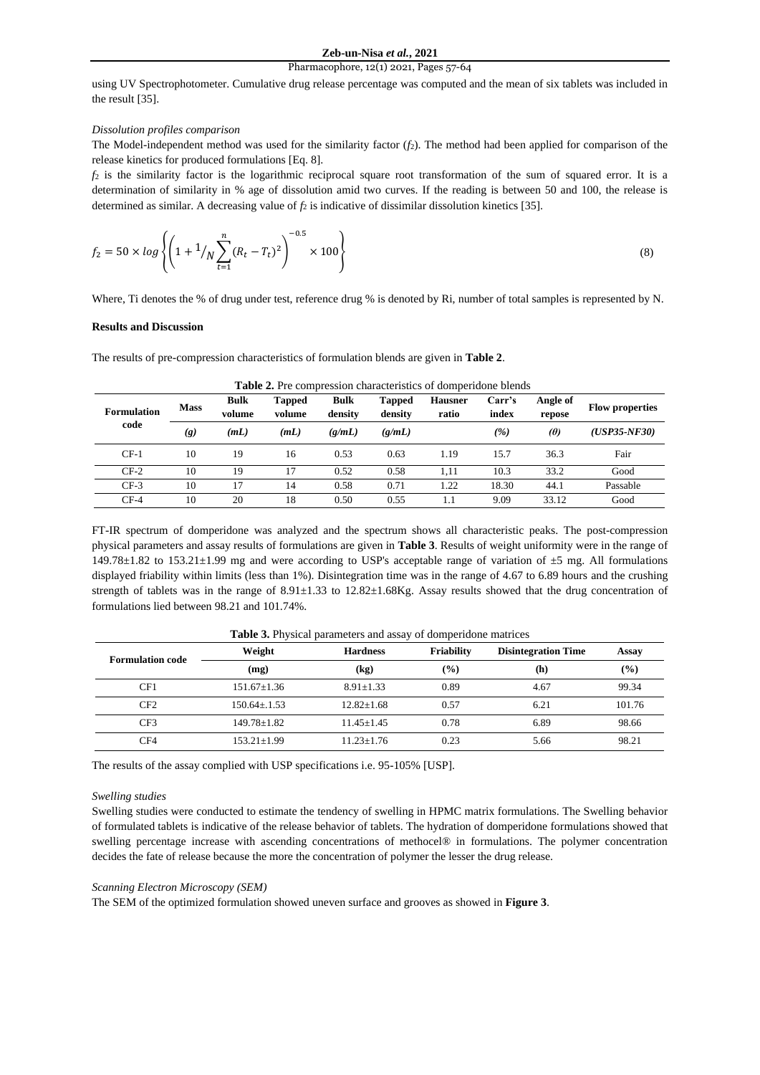using UV Spectrophotometer. Cumulative drug release percentage was computed and the mean of six tablets was included in the result [35].

## *Dissolution profiles comparison*

The Model-independent method was used for the similarity factor (*f*2). The method had been applied for comparison of the release kinetics for produced formulations [Eq. 8].

*f*<sup>2</sup> is the similarity factor is the logarithmic reciprocal square root transformation of the sum of squared error. It is a determination of similarity in % age of dissolution amid two curves. If the reading is between 50 and 100, the release is determined as similar. A decreasing value of  $f_2$  is indicative of dissimilar dissolution kinetics [35].

$$
f_2 = 50 \times \log \left\{ \left( 1 + \frac{1}{N} \sum_{t=1}^n (R_t - T_t)^2 \right)^{-0.5} \times 100 \right\} \tag{8}
$$

Where, Ti denotes the % of drug under test, reference drug % is denoted by Ri, number of total samples is represented by N.

# **Results and Discussion**

The results of pre-compression characteristics of formulation blends are given in **Table 2**.

| <b>THOICE:</b> I TO COMPLOSSION CHARACTERIZED OF GOMPOHAGING OTCHING |             |                       |                         |                        |                   |                         |                 |                    |                        |
|----------------------------------------------------------------------|-------------|-----------------------|-------------------------|------------------------|-------------------|-------------------------|-----------------|--------------------|------------------------|
| <b>Formulation</b><br>code                                           | <b>Mass</b> | <b>Bulk</b><br>volume | <b>Tapped</b><br>volume | <b>Bulk</b><br>density | Tapped<br>density | <b>Hausner</b><br>ratio | Carr's<br>index | Angle of<br>repose | <b>Flow properties</b> |
|                                                                      | (g)         | (mL)                  | (mL)                    | (g/mL)                 | (g/mL)            |                         | ( %)            | (O)                | $(USP35-NF30)$         |
| $CF-1$                                                               | 10          | 19                    | 16                      | 0.53                   | 0.63              | 1.19                    | 15.7            | 36.3               | Fair                   |
| $CF-2$                                                               | 10          | 19                    |                         | 0.52                   | 0.58              | 1.11                    | 10.3            | 33.2               | Good                   |
| $CF-3$                                                               | 10          | 7،                    | 14                      | 0.58                   | 0.71              | 1.22                    | 18.30           | 44.1               | Passable               |
| $CF-4$                                                               | 10          | 20                    | 18                      | 0.50                   | 0.55              | 1.1                     | 9.09            | 33.12              | Good                   |

**Table 2.** Pre compression characteristics of domperidone blends

FT-IR spectrum of domperidone was analyzed and the spectrum shows all characteristic peaks. The post-compression physical parameters and assay results of formulations are given in **Table 3**. Results of weight uniformity were in the range of 149.78±1.82 to 153.21±1.99 mg and were according to USP's acceptable range of variation of ±5 mg. All formulations displayed friability within limits (less than 1%). Disintegration time was in the range of 4.67 to 6.89 hours and the crushing strength of tablets was in the range of  $8.91 \pm 1.33$  to  $12.82 \pm 1.68$  Kg. Assay results showed that the drug concentration of formulations lied between 98.21 and 101.74%.

| $\sim$ which are all the positions of the contract of $\sim$ . The contraction of the contract of $\sim$ |                   |                               |      |                            |        |  |  |  |
|----------------------------------------------------------------------------------------------------------|-------------------|-------------------------------|------|----------------------------|--------|--|--|--|
| <b>Formulation code</b>                                                                                  | Weight            | Friability<br><b>Hardness</b> |      | <b>Disintegration Time</b> | Assay  |  |  |  |
|                                                                                                          | (mg)              | $\left( \mathrm{kg}\right)$   | (%)  | (h)                        | $(\%)$ |  |  |  |
| CF1                                                                                                      | $151.67 \pm 1.36$ | $8.91 + 1.33$                 | 0.89 | 4.67                       | 99.34  |  |  |  |
| CF2                                                                                                      | $150.64 + 1.53$   | $12.82 \pm 1.68$              | 0.57 | 6.21                       | 101.76 |  |  |  |
| CF3                                                                                                      | $149.78 \pm 1.82$ | $11.45 \pm 1.45$              | 0.78 | 6.89                       | 98.66  |  |  |  |
| CF4                                                                                                      | $153.21 \pm 1.99$ | $11.23 \pm 1.76$              | 0.23 | 5.66                       | 98.21  |  |  |  |

**Table 3.** Physical parameters and assay of domperidone matrices

The results of the assay complied with USP specifications i.e. 95-105% [USP].

# *Swelling studies*

Swelling studies were conducted to estimate the tendency of swelling in HPMC matrix formulations. The Swelling behavior of formulated tablets is indicative of the release behavior of tablets. The hydration of domperidone formulations showed that swelling percentage increase with ascending concentrations of methocel® in formulations. The polymer concentration decides the fate of release because the more the concentration of polymer the lesser the drug release.

#### *Scanning Electron Microscopy (SEM)*

The SEM of the optimized formulation showed uneven surface and grooves as showed in **Figure 3**.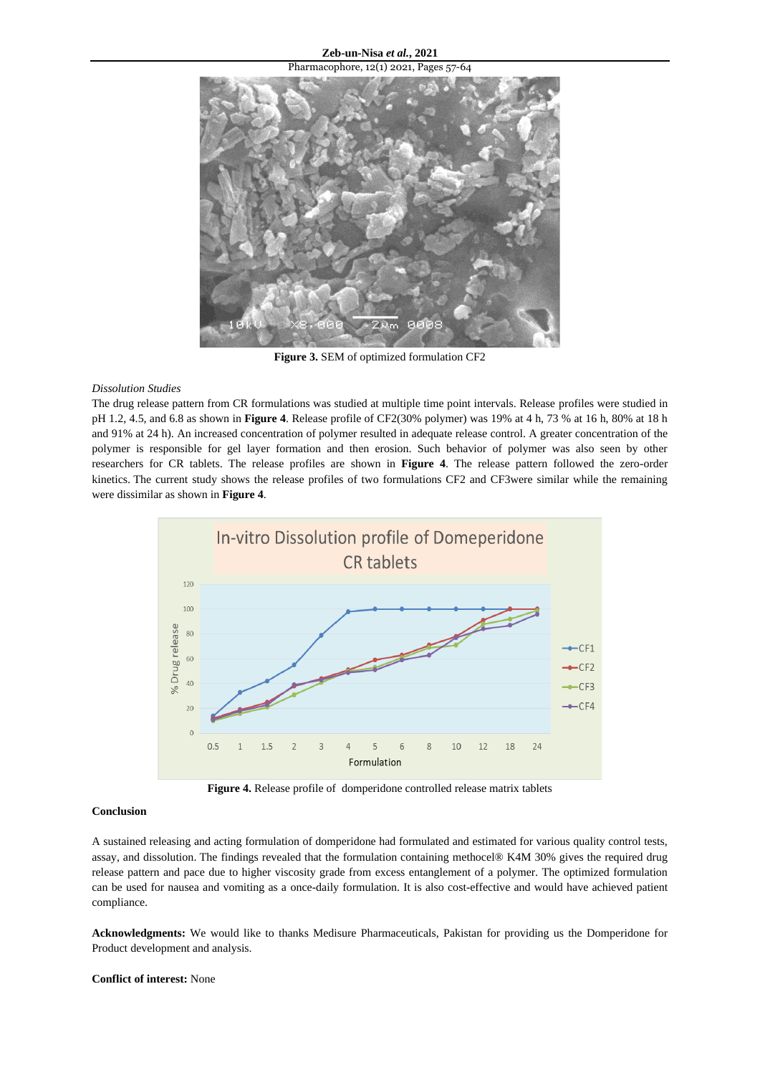Pharmacophore, 12(1) 2021, Pages 57-64 <u> аявя</u>

**Figure 3.** SEM of optimized formulation CF2

# *Dissolution Studies*

The drug release pattern from CR formulations was studied at multiple time point intervals. Release profiles were studied in pH 1.2, 4.5, and 6.8 as shown in **Figure 4**. Release profile of CF2(30% polymer) was 19% at 4 h, 73 % at 16 h, 80% at 18 h and 91% at 24 h). An increased concentration of polymer resulted in adequate release control. A greater concentration of the polymer is responsible for gel layer formation and then erosion. Such behavior of polymer was also seen by other researchers for CR tablets. The release profiles are shown in **Figure 4**. The release pattern followed the zero-order kinetics. The current study shows the release profiles of two formulations CF2 and CF3were similar while the remaining were dissimilar as shown in **Figure 4**.



**Figure 4.** Release profile of domperidone controlled release matrix tablets

# **Conclusion**

A sustained releasing and acting formulation of domperidone had formulated and estimated for various quality control tests, assay, and dissolution. The findings revealed that the formulation containing methocel® K4M 30% gives the required drug release pattern and pace due to higher viscosity grade from excess entanglement of a polymer. The optimized formulation can be used for nausea and vomiting as a once-daily formulation. It is also cost-effective and would have achieved patient compliance.

**Acknowledgments:** We would like to thanks Medisure Pharmaceuticals, Pakistan for providing us the Domperidone for Product development and analysis.

**Conflict of interest:** None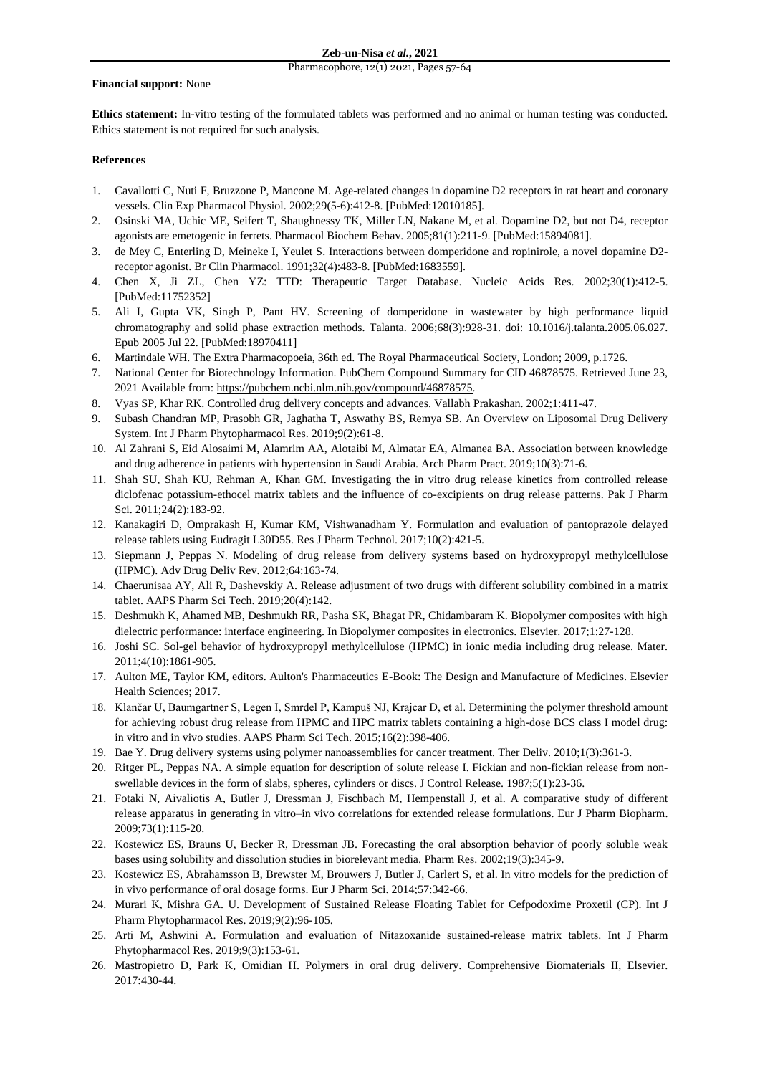### **Financial support:** None

**Ethics statement:** In-vitro testing of the formulated tablets was performed and no animal or human testing was conducted. Ethics statement is not required for such analysis.

# **References**

- 1. Cavallotti C, Nuti F, Bruzzone P, Mancone M. Age-related changes in dopamine D2 receptors in rat heart and coronary vessels. Clin Exp Pharmacol Physiol. 2002;29(5-6):412-8. [PubMed:12010185].
- 2. Osinski MA, Uchic ME, Seifert T, Shaughnessy TK, Miller LN, Nakane M, et al. Dopamine D2, but not D4, receptor agonists are emetogenic in ferrets. Pharmacol Biochem Behav. 2005;81(1):211-9. [PubMed:15894081].
- 3. de Mey C, Enterling D, Meineke I, Yeulet S. Interactions between domperidone and ropinirole, a novel dopamine D2 receptor agonist. Br Clin Pharmacol. 1991;32(4):483-8. [PubMed:1683559].
- 4. Chen X, Ji ZL, Chen YZ: TTD: Therapeutic Target Database. Nucleic Acids Res. 2002;30(1):412-5. [PubMed:11752352]
- 5. Ali I, Gupta VK, Singh P, Pant HV. Screening of domperidone in wastewater by high performance liquid chromatography and solid phase extraction methods. Talanta. 2006;68(3):928-31. doi: 10.1016/j.talanta.2005.06.027. Epub 2005 Jul 22. [PubMed:18970411]
- 6. Martindale WH. The Extra Pharmacopoeia, 36th ed. The Royal Pharmaceutical Society, London; 2009, p.1726.
- 7. National Center for Biotechnology Information. PubChem Compound Summary for CID 46878575. Retrieved June 23, 2021 Available from: [https://pubchem.ncbi.nlm.nih.gov/compound/46878575.](https://pubchem.ncbi.nlm.nih.gov/compound/46878575)
- 8. Vyas SP, Khar RK. Controlled drug delivery concepts and advances. Vallabh Prakashan. 2002;1:411-47.
- 9. Subash Chandran MP, Prasobh GR, Jaghatha T, Aswathy BS, Remya SB. An Overview on Liposomal Drug Delivery System. Int J Pharm Phytopharmacol Res. 2019;9(2):61-8.
- 10. Al Zahrani S, Eid Alosaimi M, Alamrim AA, Alotaibi M, Almatar EA, Almanea BA. Association between knowledge and drug adherence in patients with hypertension in Saudi Arabia. Arch Pharm Pract. 2019;10(3):71-6.
- 11. Shah SU, Shah KU, Rehman A, Khan GM. Investigating the in vitro drug release kinetics from controlled release diclofenac potassium-ethocel matrix tablets and the influence of co-excipients on drug release patterns. Pak J Pharm Sci. 2011;24(2):183-92.
- 12. Kanakagiri D, Omprakash H, Kumar KM, Vishwanadham Y. Formulation and evaluation of pantoprazole delayed release tablets using Eudragit L30D55. Res J Pharm Technol. 2017;10(2):421-5.
- 13. Siepmann J, Peppas N. Modeling of drug release from delivery systems based on hydroxypropyl methylcellulose (HPMC). Adv Drug Deliv Rev. 2012;64:163-74.
- 14. Chaerunisaa AY, Ali R, Dashevskiy A. Release adjustment of two drugs with different solubility combined in a matrix tablet. AAPS Pharm Sci Tech. 2019;20(4):142.
- 15. Deshmukh K, Ahamed MB, Deshmukh RR, Pasha SK, Bhagat PR, Chidambaram K. Biopolymer composites with high dielectric performance: interface engineering. In Biopolymer composites in electronics. Elsevier. 2017;1:27-128.
- 16. Joshi SC. Sol-gel behavior of hydroxypropyl methylcellulose (HPMC) in ionic media including drug release. Mater. 2011;4(10):1861-905.
- 17. Aulton ME, Taylor KM, editors. Aulton's Pharmaceutics E-Book: The Design and Manufacture of Medicines. Elsevier Health Sciences; 2017.
- 18. Klančar U, Baumgartner S, Legen I, Smrdel P, Kampuš NJ, Krajcar D, et al. Determining the polymer threshold amount for achieving robust drug release from HPMC and HPC matrix tablets containing a high-dose BCS class I model drug: in vitro and in vivo studies. AAPS Pharm Sci Tech. 2015;16(2):398-406.
- 19. Bae Y. Drug delivery systems using polymer nanoassemblies for cancer treatment. Ther Deliv. 2010;1(3):361-3.
- 20. Ritger PL, Peppas NA. A simple equation for description of solute release I. Fickian and non-fickian release from nonswellable devices in the form of slabs, spheres, cylinders or discs. J Control Release. 1987;5(1):23-36.
- 21. Fotaki N, Aivaliotis A, Butler J, Dressman J, Fischbach M, Hempenstall J, et al. A comparative study of different release apparatus in generating in vitro–in vivo correlations for extended release formulations. Eur J Pharm Biopharm. 2009;73(1):115-20.
- 22. Kostewicz ES, Brauns U, Becker R, Dressman JB. Forecasting the oral absorption behavior of poorly soluble weak bases using solubility and dissolution studies in biorelevant media. Pharm Res. 2002;19(3):345-9.
- 23. Kostewicz ES, Abrahamsson B, Brewster M, Brouwers J, Butler J, Carlert S, et al. In vitro models for the prediction of in vivo performance of oral dosage forms. Eur J Pharm Sci. 2014;57:342-66.
- 24. Murari K, Mishra GA. U. Development of Sustained Release Floating Tablet for Cefpodoxime Proxetil (CP). Int J Pharm Phytopharmacol Res. 2019;9(2):96-105.
- 25. Arti M, Ashwini A. Formulation and evaluation of Nitazoxanide sustained-release matrix tablets. Int J Pharm Phytopharmacol Res. 2019;9(3):153-61.
- 26. Mastropietro D, Park K, Omidian H. Polymers in oral drug delivery. Comprehensive Biomaterials II, Elsevier. 2017:430-44.